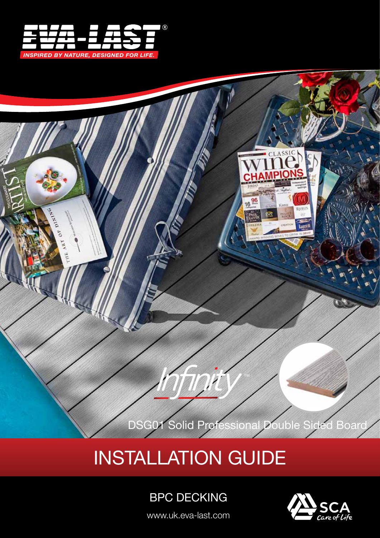



# INSTALLATION GUIDE

# BPC DECKING

www.uk.eva-last.com

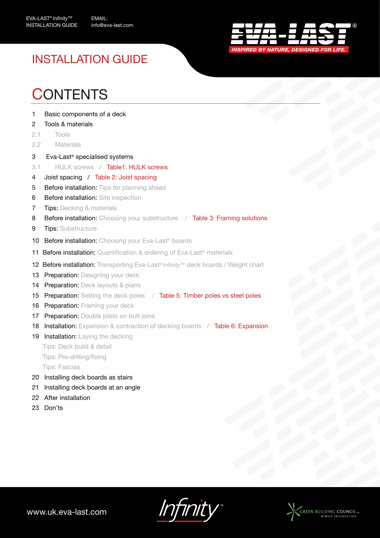

# INSTALLATION GUIDE

# **CONTENTS**

- 1 Basic components of a deck
- 2 Tools & materials
- 2.1 Tools
- 2.2 Materials
- 3 Eva-Last® specialised systems
- 3.1 HULK screws / Table1: HULK screws
- 4 Joist spacing / Table 2: Joist spacing
- 5 Before installation: Tips for planning ahead
- 6 Before installation: Site inspection
- **7** Tips: Decking & materials
- 8 Before installation: Choosing your substructure / Table 3: Framing solutions
- 9 Tips: Substructure
- 10 Before installation: Choosing your Eva-Last<sup>®</sup> boards
- 11 Before installation: Quantification & ordering of Eva-Last® materials
- **12 Before installation:** Transporting Eva-Last® *Infinity*™ deck boards / Weight chart
- 13 Preparation: Designing your deck
- 14 Preparation: Deck layouts & plans
- 15 Preparation: Setting the deck poles / Table 5: Timber poles vs steel poles
- 16 Preparation: Framing your deck
- 17 Preparation: Double joists on butt joins
- 18 Installation: Expansion & contraction of decking boards / Table 6: Expansion
- 19 Installation: Laying the decking
	- Tips: Deck build & detail
	- Tips: Pre-drilling/fixing

Tips: Fascias

- 20 Installing deck boards as stairs
- 21 Installing deck boards at an angle
- 22 After installation
- 23 Don'ts

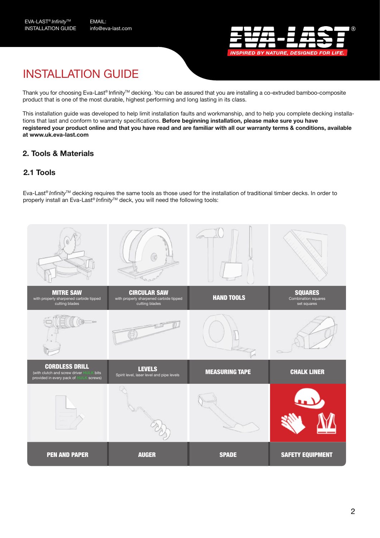

# INSTALLATION GUIDE

Thank you for choosing Eva-Last® Infinity™ decking. You can be assured that you are installing a co-extruded bamboo-composite product that is one of the most durable, highest performing and long lasting in its class.

This installation guide was developed to help limit installation faults and workmanship, and to help you complete decking installations that last and conform to warranty specifications. **Before beginning installation, please make sure you have registered your product online and that you have read and are familiar with all our warranty terms & conditions, available at www.uk.eva-last.com** 

### **2. Tools & Materials**

### **2.1 Tools**

Eva-Last® *Infinity*TM decking requires the same tools as those used for the installation of traditional timber decks. In order to properly install an Eva-Last<sup>®</sup> *Infinity*™ deck, you will need the following tools:

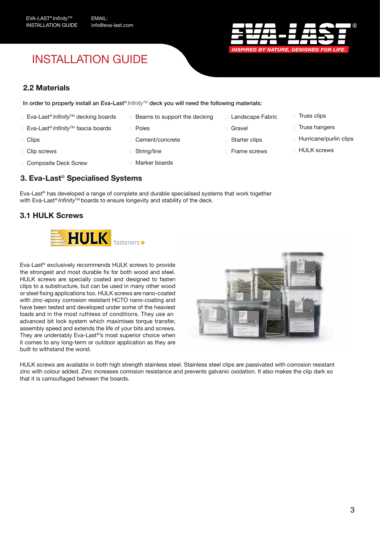# INSTALLATION GUIDE



#### **2.2 Materials**

In order to properly install an Eva-Last® *InfinityTM* deck you will need the following materials:

- ☐ Eva-Last® *Infinity*TM decking boards
- ☐ Eva-Last® *Infinity*TM fascia boards
- □ Clips
- □ Clip screws
- □ Composite Deck Screw
- □ Beams to support the decking
- ☐ Poles
- □ Cement/concrete
- ☐ String/line
- □ Marker boards
- **3. Eva-Last**® **Specialised Systems**

Eva-Last® has developed a range of complete and durable specialised systems that work together with Eva-Last<sup>®</sup> *Infinity*<sup>™</sup> boards to ensure longevity and stability of the deck.

### **3.1 HULK Screws**



Eva-Last® exclusively recommends HULK screws to provide the strongest and most durable fix for both wood and steel. HULK screws are specially coated and designed to fasten clips to a substructure, but can be used in many other wood or steel fixing applications too. HULK screws are nano-coated with zinc-epoxy corrosion resistant HCTO nano-coating and have been tested and developed under some of the heaviest loads and in the most ruthless of conditions. They use an advanced bit lock system which maximises torque transfer, assembly speed and extends the life of your bits and screws. They are undeniably Eva-Last®'s most superior choice when it comes to any long-term or outdoor application as they are built to withstand the worst.



□ Landscape Fabric

□ Gravel

□ Starter clips ☐ Frame screws

HULK screws are available in both high strength stainless steel. Stainless steel clips are passivated with corrosion resistant zinc with colour added. Zinc increases corrosion resistance and prevents galvanic oxidation. It also makes the clip dark so that it is camouflaged between the boards.

□ Hurricane/purlin clips

□ Truss clips □ Truss hangers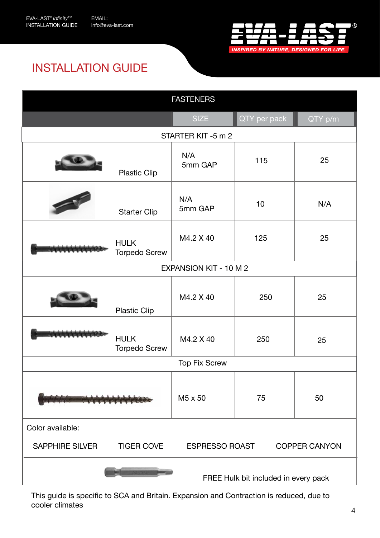

# INSTALLATION GUIDE

| <b>FASTENERS</b>                     |                                     |                                               |              |          |  |  |  |  |  |  |
|--------------------------------------|-------------------------------------|-----------------------------------------------|--------------|----------|--|--|--|--|--|--|
|                                      |                                     | <b>SIZE</b>                                   | QTY per pack | QTY p/m  |  |  |  |  |  |  |
|                                      |                                     | STARTER KIT-5 m 2                             |              |          |  |  |  |  |  |  |
|                                      | <b>Plastic Clip</b>                 | N/A<br>5mm GAP                                | 115          | 25       |  |  |  |  |  |  |
|                                      | <b>Starter Clip</b>                 | N/A<br>5mm GAP                                | 10           | N/A      |  |  |  |  |  |  |
|                                      | <b>HULK</b><br><b>Torpedo Screw</b> | M4.2 X 40                                     | 125          | 25       |  |  |  |  |  |  |
| <b>EXPANSION KIT - 10 M 2</b>        |                                     |                                               |              |          |  |  |  |  |  |  |
|                                      | Plastic Clip                        | M4.2 X 40                                     | 250          | 25<br>25 |  |  |  |  |  |  |
|                                      | <b>HULK</b><br><b>Torpedo Screw</b> | M4.2 X 40                                     | 250          |          |  |  |  |  |  |  |
|                                      |                                     | <b>Top Fix Screw</b>                          |              |          |  |  |  |  |  |  |
|                                      |                                     | M <sub>5</sub> x 50                           | 75           | 50       |  |  |  |  |  |  |
| Color available:                     |                                     |                                               |              |          |  |  |  |  |  |  |
| SAPPHIRE SILVER                      | <b>TIGER COVE</b>                   | <b>ESPRESSO ROAST</b><br><b>COPPER CANYON</b> |              |          |  |  |  |  |  |  |
| FREE Hulk bit included in every pack |                                     |                                               |              |          |  |  |  |  |  |  |

This guide is specific to SCA and Britain. Expansion and Contraction is reduced, due to cooler climates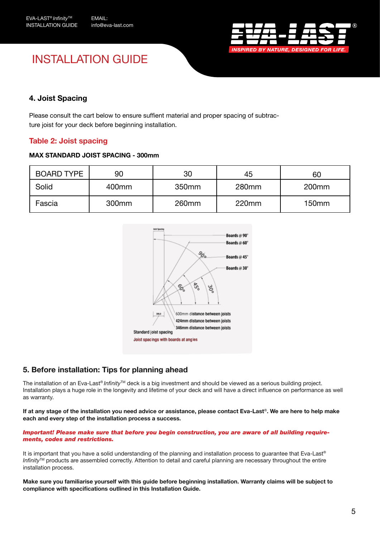

# INSTALLATION GUIDE

### **4. Joist Spacing**

Please consult the cart below to ensure suffient material and proper spacing of subtracture joist for your deck before beginning installation.

### **Table 2: Joist spacing**

#### **MAX STANDARD JOIST SPACING - 300mm**

| <b>BOARD TYPE</b> | 90                | 30                | 45    | 60                |  |  |
|-------------------|-------------------|-------------------|-------|-------------------|--|--|
| Solid             | 400mm             | 350mm             | 280mm | 200 <sub>mm</sub> |  |  |
| Fascia            | 300 <sub>mm</sub> | 260 <sub>mm</sub> | 220mm | 150 <sub>mm</sub> |  |  |



### **5. Before installation: Tips for planning ahead**

The installation of an Eva-Last® *Infinity*<sup>™</sup> deck is a big investment and should be viewed as a serious building project. Installation plays a huge role in the longevity and lifetime of your deck and will have a direct influence on performance as well as warranty.

**If at any stage of the installation you need advice or assistance, please contact Eva-Last**®**. We are here to help make each and every step of the installation process a success.** 

#### *Important! Please make sure that before you begin construction, you are aware of all building requirements, codes and restrictions.*

It is important that you have a solid understanding of the planning and installation process to quarantee that Eva-Last® *Infinity*™ products are assembled correctly. Attention to detail and careful planning are necessary throughout the entire installation process.

**Make sure you familiarise yourself with this guide before beginning installation. Warranty claims will be subject to compliance with specifications outlined in this Installation Guide.**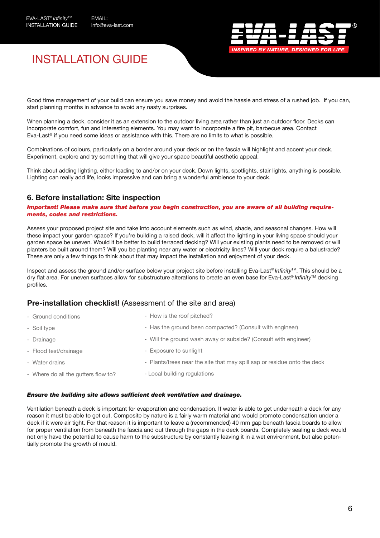

## INSTALLATION GUIDE

Good time management of your build can ensure you save money and avoid the hassle and stress of a rushed job. If you can, start planning months in advance to avoid any nasty surprises.

When planning a deck, consider it as an extension to the outdoor living area rather than just an outdoor floor. Decks can incorporate comfort, fun and interesting elements. You may want to incorporate a fire pit, barbecue area. Contact Eva-Last<sup>®</sup> if you need some ideas or assistance with this. There are no limits to what is possible.

Combinations of colours, particularly on a border around your deck or on the fascia will highlight and accent your deck. Experiment, explore and try something that will give your space beautiful aesthetic appeal.

Think about adding lighting, either leading to and/or on your deck. Down lights, spotlights, stair lights, anything is possible. Lighting can really add life, looks impressive and can bring a wonderful ambience to your deck.

### **6. Before installation: Site inspection**

*Important! Please make sure that before you begin construction, you are aware of all building requirements, codes and restrictions.*

Assess your proposed project site and take into account elements such as wind, shade, and seasonal changes. How will these impact your garden space? If you're building a raised deck, will it affect the lighting in your living space should your garden space be uneven. Would it be better to build terraced decking? Will your existing plants need to be removed or will planters be built around them? Will you be planting near any water or electricity lines? Will your deck require a balustrade? These are only a few things to think about that may impact the installation and enjoyment of your deck.

Inspect and assess the ground and/or surface below your project site before installing Eva-Last® *Infinity*TM. This should be a dry flat area. For uneven surfaces allow for substructure alterations to create an even base for Eva-Last® *Infinity*TM decking profiles.

#### **Pre-installation checklist!** (Assessment of the site and area)

| - Ground conditions                 | - How is the roof pitched?                                               |
|-------------------------------------|--------------------------------------------------------------------------|
| - Soil type                         | - Has the ground been compacted? (Consult with engineer)                 |
| - Drainage                          | - Will the ground wash away or subside? (Consult with engineer)          |
| - Flood test/drainage               | - Exposure to sunlight                                                   |
| - Water drains                      | - Plants/trees near the site that may spill sap or residue onto the deck |
| - Where do all the gutters flow to? | - Local building regulations                                             |

#### *Ensure the building site allows sufficient deck ventilation and drainage.*

Ventilation beneath a deck is important for evaporation and condensation. If water is able to get underneath a deck for any reason it must be able to get out. Composite by nature is a fairly warm material and would promote condensation under a deck if it were air tight. For that reason it is important to leave a (recommended) 40 mm gap beneath fascia boards to allow for proper ventilation from beneath the fascia and out through the gaps in the deck boards. Completely sealing a deck would not only have the potential to cause harm to the substructure by constantly leaving it in a wet environment, but also potentially promote the growth of mould.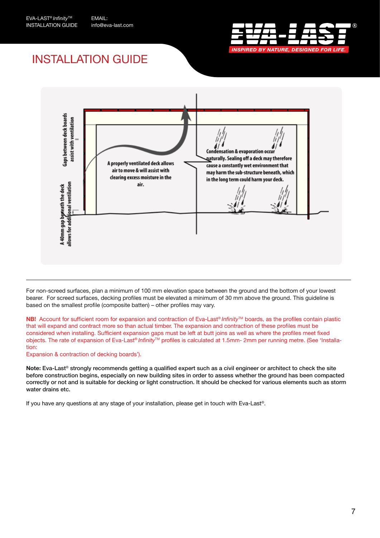

# INSTALLATION GUIDE



For non-screed surfaces, plan a minimum of 100 mm elevation space between the ground and the bottom of your lowest bearer. For screed surfaces, decking profiles must be elevated a minimum of 30 mm above the ground. This guideline is based on the smallest profile (composite batten) – other profiles may vary.

**NB!** Account for sufficient room for expansion and contraction of Eva-Last® *Infinity*™ boards, as the profiles contain plastic that will expand and contract more so than actual timber. The expansion and contraction of these profiles must be considered when installing. Sufficient expansion gaps must be left at butt joins as well as where the profiles meet fixed objects. The rate of expansion of Eva-Last® *Infinity*TM profiles is calculated at 1.5mm- 2mm per running metre. (See 'Installation:

Expansion & contraction of decking boards').

**Note:** Eva-Last® strongly recommends getting a qualified expert such as a civil engineer or architect to check the site before construction begins, especially on new building sites in order to assess whether the ground has been compacted correctly or not and is suitable for decking or light construction. It should be checked for various elements such as storm water drains etc.

If you have any questions at any stage of your installation, please get in touch with Eva-Last®.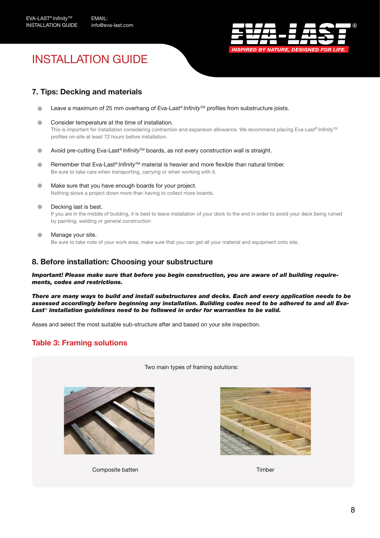

# INSTALLATION GUIDE

### **7. Tips: Decking and materials**

- Leave a maximum of 25 mm overhang of Eva-Last® *Infinity*™ profiles from substructure joists.  $\bullet$
- Consider temperature at the time of installation.  $\triangle$ This is important for installation considering contraction and expansion allowance. We recommend placing Eva-Last<sup>®</sup> *Infinity*™ profiles on-site at least 72 hours before installation.
- Avoid pre-cutting Eva-Last<sup>®</sup> *Infinity*™ boards, as not every construction wall is straight.  $\bullet$
- $\bullet$ Remember that Eva-Last® *Infinity*™ material is heavier and more flexible than natural timber. Be sure to take care when transporting, carrying or when working with it.
- $\bullet$ Make sure that you have enough boards for your project. Nothing slows a project down more than having to collect more boards.
- Decking last is best.  $\bullet$

If you are in the middle of building, it is best to leave installation of your deck to the end in order to avoid your deck being ruined by painting, welding or general construction

Manage your site. Be sure to take note of your work area, make sure that you can get all your material and equipment onto site.

#### **8. Before installation: Choosing your substructure**

*Important! Please make sure that before you begin construction, you are aware of all building requirements, codes and restrictions.*

*There are many ways to build and install substructures and decks. Each and every application needs to be assessed accordingly before beginning any installation. Building codes need to be adhered to and all Eva-Last® installation guidelines need to be followed in order for warranties to be valid.*

Asses and select the most suitable sub-structure after and based on your site inspection.

#### **Table 3: Framing solutions**

Two main types of framing solutions:



Composite batten Timber

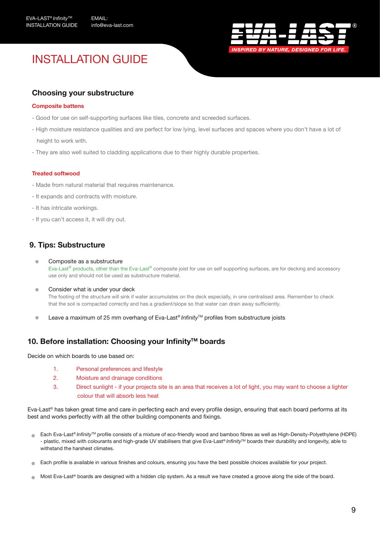

# INSTALLATION GUIDE

### **Choosing your substructure**

#### **Composite battens**

- Good for use on self-supporting surfaces like tiles, concrete and screeded surfaces.
- High moisture resistance qualities and are perfect for low lying, level surfaces and spaces where you don't have a lot of height to work with.
- They are also well suited to cladding applications due to their highly durable properties.

#### **Treated softwood**

- Made from natural material that requires maintenance.
- It expands and contracts with moisture.
- It has intricate workings.
- If you can't access it, it will dry out.

### **9. Tips: Substructure**

ò

- Composite as a substructure Eva-Last® products, other than the Eva-Last® composite joist for use on self supporting surfaces, are for decking and accessory use only and should not be used as substructure material.
- $\blacksquare$ Consider what is under your deck The footing of the structure will sink if water accumulates on the deck especially, in one centralised area. Remember to check that the soil is compacted correctly and has a gradient/slope so that water can drain away sufficiently.
- Leave a maximum of 25 mm overhang of Eva-Last® *Infinity*TM profiles from substructure joists

#### **10. Before installation: Choosing your InfinityTM boards**

Decide on which boards to use based on:

- 1. Personal preferences and lifestyle
- 2. Moisture and drainage conditions
- 3. Direct sunlight if your projects site is an area that receives a lot of light, you may want to choose a lighter colour that will absorb less heat

Eva-Last® has taken great time and care in perfecting each and every profile design, ensuring that each board performs at its best and works perfectly with all the other building components and fixings.

- Each Eva-Last® *Infinity*™ profile consists of a mixture of eco-friendly wood and bamboo fibres as well as High-Density-Polyethylene (HDPE) - plastic, mixed with colourants and high-grade UV stabilisers that give Eva-Last® *Infinity*TM boards their durability and longevity, able to withstand the harshest climates.
- Each profile is available in various finishes and colours, ensuring you have the best possible choices available for your project.
- Most Eva-Last® boards are designed with a hidden clip system. As a result we have created a groove along the side of the board.  $\blacksquare$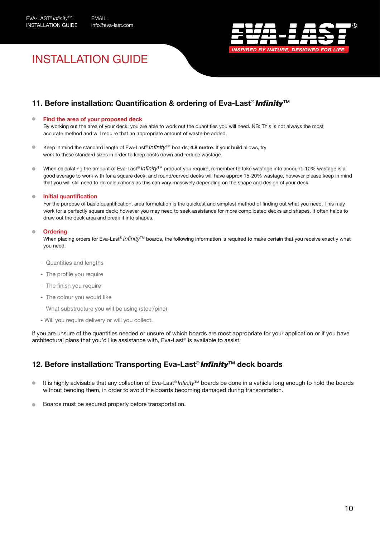

# INSTALLATION GUIDE

### **11. Before installation: Quantification & ordering of Eva-Last<sup>®</sup> Infinity<sup>™</sup>**

#### **Find the area of your proposed deck**

 By working out the area of your deck, you are able to work out the quantities you will need. NB: This is not always the most accurate method and will require that an appropriate amount of waste be added.

- Keep in mind the standard length of Eva-Last<sup>®</sup> *Infinity*<sup>™</sup> boards; 4.8 metre. If your build allows, try work to these standard sizes in order to keep costs down and reduce wastage.
- When calculating the amount of Eva-Last® *Infinity*TM product you require, remember to take wastage into account. 10% wastage is a good average to work with for a square deck, and round/curved decks will have approx 15-20% wastage, however please keep in mind that you will still need to do calculations as this can vary massively depending on the shape and design of your deck.

#### **Initial quantification**

 For the purpose of basic quantification, area formulation is the quickest and simplest method of finding out what you need. This may work for a perfectly square deck; however you may need to seek assistance for more complicated decks and shapes. It often helps to draw out the deck area and break it into shapes.

#### **Ordering**

 When placing orders for Eva-Last® *Infinity*TM boards, the following information is required to make certain that you receive exactly what you need:

- Quantities and lengths
- The profile you require
- The finish you require
- The colour you would like
- What substructure you will be using (steel/pine)
- Will you require delivery or will you collect.

If you are unsure of the quantities needed or unsure of which boards are most appropriate for your application or if you have architectural plans that you'd like assistance with, Eva-Last® is available to assist.

### **12. Before installation: Transporting Eva-Last**® *Infinity*TM **deck boards**

- It is highly advisable that any collection of Eva-Last® *Infinity*TM boards be done in a vehicle long enough to hold the boards  $\blacksquare$ without bending them, in order to avoid the boards becoming damaged during transportation.
- Boards must be secured properly before transportation.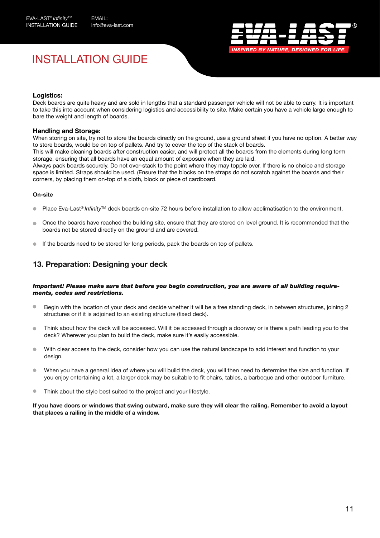# INSTALLATION GUIDE



#### **Logistics:**

Deck boards are quite heavy and are sold in lengths that a standard passenger vehicle will not be able to carry. It is important to take this into account when considering logistics and accessibility to site. Make certain you have a vehicle large enough to bare the weight and length of boards.

#### **Handling and Storage:**

When storing on site, try not to store the boards directly on the ground, use a ground sheet if you have no option. A better way to store boards, would be on top of pallets. And try to cover the top of the stack of boards.

This will make cleaning boards after construction easier, and will protect all the boards from the elements during long term storage, ensuring that all boards have an equal amount of exposure when they are laid.

Always pack boards securely. Do not over-stack to the point where they may topple over. If there is no choice and storage space is limited. Straps should be used. (Ensure that the blocks on the straps do not scratch against the boards and their corners, by placing them on-top of a cloth, block or piece of cardboard.

#### **On-site**

- Place Eva-Last<sup>®</sup> *Infinity*<sup>™</sup> deck boards on-site 72 hours before installation to allow acclimatisation to the environment.
- Once the boards have reached the building site, ensure that they are stored on level ground. It is recommended that the boards not be stored directly on the ground and are covered.
- If the boards need to be stored for long periods, pack the boards on top of pallets.

### **13. Preparation: Designing your deck**

#### *Important! Please make sure that before you begin construction, you are aware of all building requirements, codes and restrictions.*

- Begin with the location of your deck and decide whether it will be a free standing deck, in between structures, joining 2 structures or if it is adjoined to an existing structure (fixed deck).
- $\bullet$  Think about how the deck will be accessed. Will it be accessed through a doorway or is there a path leading you to the deck? Wherever you plan to build the deck, make sure it's easily accessible.
- With clear access to the deck, consider how you can use the natural landscape to add interest and function to your design.
- When you have a general idea of where you will build the deck, you will then need to determine the size and function. If you enjoy entertaining a lot, a larger deck may be suitable to fit chairs, tables, a barbeque and other outdoor furniture.
- **Think about the style best suited to the project and your lifestyle.**

**If you have doors or windows that swing outward, make sure they will clear the railing. Remember to avoid a layout that places a railing in the middle of a window.**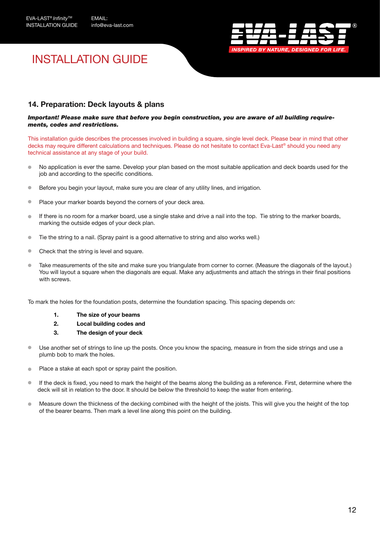

# INSTALLATION GUIDE

### **14. Preparation: Deck layouts & plans**

#### *Important! Please make sure that before you begin construction, you are aware of all building requirements, codes and restrictions.*

This installation guide describes the processes involved in building a square, single level deck. Please bear in mind that other decks may require different calculations and techniques. Please do not hesitate to contact Eva-Last® should you need any technical assistance at any stage of your build.

- No application is ever the same. Develop your plan based on the most suitable application and deck boards used for the job and according to the specific conditions.
- **Before you begin your layout, make sure you are clear of any utility lines, and irrigation.**
- **Place your marker boards beyond the corners of your deck area.**
- If there is no room for a marker board, use a single stake and drive a nail into the top. Tie string to the marker boards, marking the outside edges of your deck plan.
- Tie the string to a nail. (Spray paint is a good alternative to string and also works well.)
- Check that the string is level and square.
- Take measurements of the site and make sure you triangulate from corner to corner. (Measure the diagonals of the layout.) You will layout a square when the diagonals are equal. Make any adjustments and attach the strings in their final positions with screws.

To mark the holes for the foundation posts, determine the foundation spacing. This spacing depends on:

- **1. The size of your beams**
- **2. Local building codes and**
- **3. The design of your deck**
- Use another set of strings to line up the posts. Once you know the spacing, measure in from the side strings and use a plumb bob to mark the holes.
- Place a stake at each spot or spray paint the position.
- If the deck is fixed, you need to mark the height of the beams along the building as a reference. First, determine where the deck will sit in relation to the door. It should be below the threshold to keep the water from entering.
- Measure down the thickness of the decking combined with the height of the joists. This will give you the height of the top of the bearer beams. Then mark a level line along this point on the building.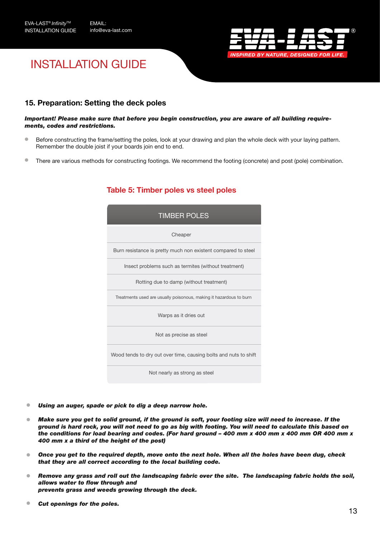

# INSTALLATION GUIDE

### **15. Preparation: Setting the deck poles**

#### *Important! Please make sure that before you begin construction, you are aware of all building requirements, codes and restrictions.*

- **Before constructing the frame/setting the poles, look at your drawing and plan the whole deck with your laying pattern.** Remember the double joist if your boards join end to end.
- There are various methods for constructing footings. We recommend the footing (concrete) and post (pole) combination.

| <b>TIMBER POLES</b>                                                |  |  |  |  |  |  |  |  |
|--------------------------------------------------------------------|--|--|--|--|--|--|--|--|
| Cheaper                                                            |  |  |  |  |  |  |  |  |
| Burn resistance is pretty much non existent compared to steel      |  |  |  |  |  |  |  |  |
| Insect problems such as termites (without treatment)               |  |  |  |  |  |  |  |  |
| Rotting due to damp (without treatment)                            |  |  |  |  |  |  |  |  |
| Treatments used are usually poisonous, making it hazardous to burn |  |  |  |  |  |  |  |  |
| Warps as it dries out                                              |  |  |  |  |  |  |  |  |
| Not as precise as steel                                            |  |  |  |  |  |  |  |  |
| Wood tends to dry out over time, causing bolts and nuts to shift   |  |  |  |  |  |  |  |  |
| Not nearly as strong as steel                                      |  |  |  |  |  |  |  |  |

### **Table 5: Timber poles vs steel poles**

- $\triangle$ *Using an auger, spade or pick to dig a deep narrow hole.*
- *Make sure you get to solid ground, if the ground is soft, your footing size will need to increase. If the*   $\bullet$ *ground is hard rock, you will not need to go as big with footing. You will need to calculate this based on the conditions for load bearing and codes. (For hard ground – 400 mm x 400 mm x 400 mm OR 400 mm x 400 mm x a third of the height of the post)*
- $\bullet$ *Once you get to the required depth, move onto the next hole. When all the holes have been dug, check that they are all correct according to the local building code.*
- *Remove any grass and roll out the landscaping fabric over the site. The landscaping fabric holds the soil,*   $\blacksquare$ *allows water to flow through and prevents grass and weeds growing through the deck.*
- $\triangle$ *Cut openings for the poles.*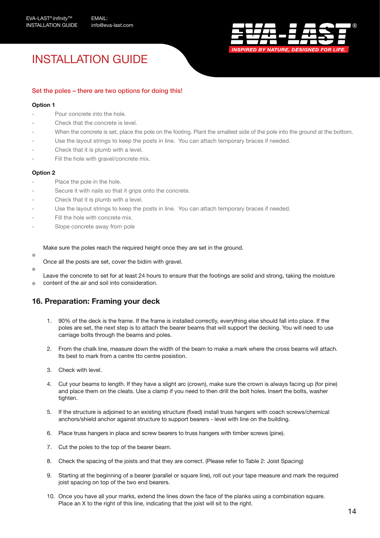info@eva-last.com



# INSTALLATION GUIDE

#### Set the poles – there are two options for doing this!

#### **Option 1**

- Pour concrete into the hole.
- Check that the concrete is level.
- When the concrete is set, place the pole on the footing. Plant the smallest side of the pole into the ground at the bottom.
- Use the layout strings to keep the posts in line. You can attach temporary braces if needed.
- Check that it is plumb with a level.
- Fill the hole with gravel/concrete mix.

#### **Option 2**

- Place the pole in the hole.
- Secure it with nails so that it grips onto the concrete.
- Check that it is plumb with a level.
- Use the layout strings to keep the posts in line. You can attach temporary braces if needed.
- Fill the hole with concrete mix.
- Slope concrete away from pole

Make sure the poles reach the required height once they are set in the ground.

- Once all the posts are set, cover the bidim with gravel.
- 

 $\blacksquare$ 

 Leave the concrete to set for at least 24 hours to ensure that the footings are solid and strong, taking the moisture content of the air and soil into consideration.

#### **16. Preparation: Framing your deck**

- 1. 90% of the deck is the frame. If the frame is installed correctly, everything else should fall into place. If the poles are set, the next step is to attach the bearer beams that will support the decking. You will need to use carriage bolts through the beams and poles.
- 2. From the chalk line, measure down the width of the beam to make a mark where the cross beams will attach. Its best to mark from a centre tto centre posistion.
- 3. Check with level.
- 4. Cut your beams to length. If they have a slight arc (crown), make sure the crown is always facing up (for pine) and place them on the cleats. Use a clamp if you need to then drill the bolt holes. Insert the bolts, washer tighten.
- 5. If the structure is adjoined to an existing structure (fixed) install truss hangers with coach screws/chemical anchors/shield anchor against structure to support bearers - level with line on the building.
- 6. Place truss hangers in place and screw bearers to truss hangers with timber screws (pine).
- 7. Cut the poles to the top of the bearer beam.
- 8. Check the spacing of the joists and that they are correct. (Please refer to Table 2: Joist Spacing)
- 9. Starting at the beginning of a bearer (parallel or square line), roll out your tape measure and mark the required joist spacing on top of the two end bearers.
- 10. Once you have all your marks, extend the lines down the face of the planks using a combination square. Place an X to the right of this line, indicating that the joist will sit to the right.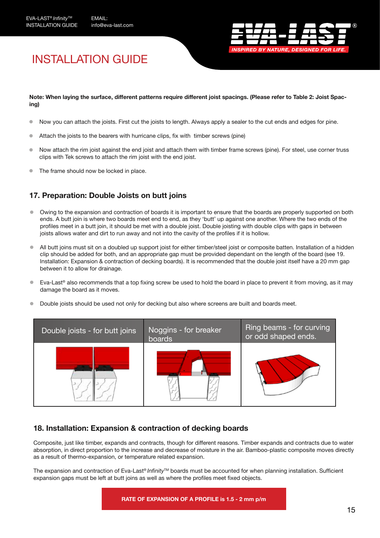

# INSTALLATION GUIDE

#### **Note: When laying the surface, different patterns require different joist spacings. (Please refer to Table 2: Joist Spacing)**

- Now you can attach the joists. First cut the joists to length. Always apply a sealer to the cut ends and edges for pine.  $\bullet$
- Attach the joists to the bearers with hurricane clips, fix with timber screws (pine)
- Now attach the rim joist against the end joist and attach them with timber frame screws (pine). For steel, use corner truss  $\bullet$ clips with Tek screws to attach the rim joist with the end joist.
- The frame should now be locked in place.  $\bullet$

### **17. Preparation: Double Joists on butt joins**

- Owing to the expansion and contraction of boards it is important to ensure that the boards are properly supported on both ends. A butt join is where two boards meet end to end, as they 'butt' up against one another. Where the two ends of the profiles meet in a butt join, it should be met with a double joist. Double joisting with double clips with gaps in between joists allows water and dirt to run away and not into the cavity of the profiles if it is hollow.
- All butt joins must sit on a doubled up support joist for either timber/steel joist or composite batten. Installation of a hidden clip should be added for both, and an appropriate gap must be provided dependant on the length of the board (see 19. Installation: Expansion & contraction of decking boards). It is recommended that the double joist itself have a 20 mm gap between it to allow for drainage.
- Eva-Last® also recommends that a top fixing screw be used to hold the board in place to prevent it from moving, as it may damage the board as it moves.
- Double joists should be used not only for decking but also where screens are built and boards meet.



### **18. Installation: Expansion & contraction of decking boards**

Composite, just like timber, expands and contracts, though for different reasons. Timber expands and contracts due to water absorption, in direct proportion to the increase and decrease of moisture in the air. Bamboo-plastic composite moves directly as a result of thermo-expansion, or temperature related expansion.

The expansion and contraction of Eva-Last® *Infinity*TM boards must be accounted for when planning installation. Sufficient expansion gaps must be left at butt joins as well as where the profiles meet fixed objects.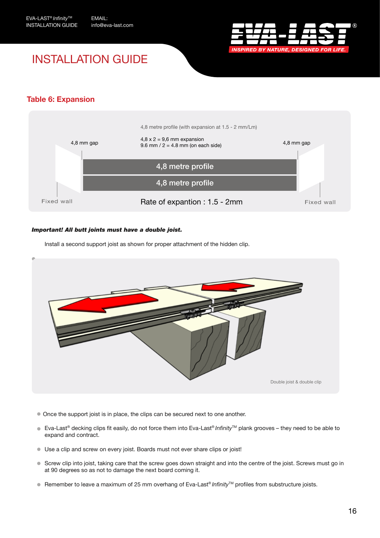

# INSTALLATION GUIDE

### **Table 6: Expansion**



#### *Important! All butt joints must have a double joist.*

Install a second support joist as shown for proper attachment of the hidden clip.



- Once the support joist is in place, the clips can be secured next to one another.
- Eva-Last<sup>®</sup> decking clips fit easily, do not force them into Eva-Last<sup>®</sup> *Infinity*™ plank grooves they need to be able to expand and contract.
- Use a clip and screw on every joist. Boards must not ever share clips or joist!
- Screw clip into joist, taking care that the screw goes down straight and into the centre of the joist. Screws must go in at 90 degrees so as not to damage the next board coming it.
- Remember to leave a maximum of 25 mm overhang of Eva-Last<sup>®</sup> *Infinity*™ profiles from substructure joists.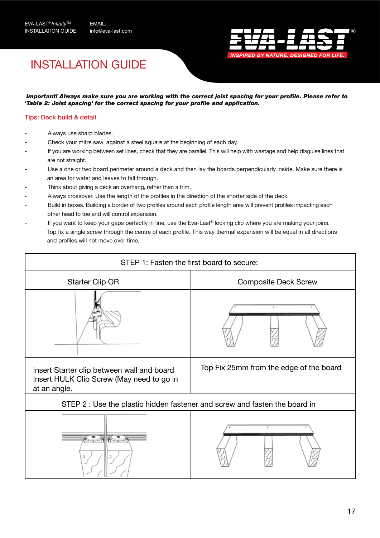

# INSTALLATION GUIDE

*Important! Always make sure you are working with the correct joist spacing for your profile. Please refer to 'Table 2: Joist spacing' for the correct spacing for your profile and application.* 

#### Tips: Deck build & detail

- Always use sharp blades.
- Check your mitre saw, against a steel square at the beginning of each day.
- If you are working between set lines, check that they are parallel. This will help with wastage and help disguise lines that are not straight.
- Use a one or two board perimeter around a deck and then lay the boards perpendicularly inside. Make sure there is an area for water and leaves to fall through.
- Think about giving a deck an overhang, rather than a trim.
- Always crossover. Use the length of the profiles in the direction of the shorter side of the deck.
- Build in boxes. Building a border of two profiles around each profile length area will prevent profiles impacting each other head to toe and will control expansion.
- If you want to keep your gaps perfectly in line, use the Eva-Last® locking clip where you are making your joins. Top fix a single screw through the centre of each profile. This way thermal expansion will be equal in all directions and profiles will not move over time.

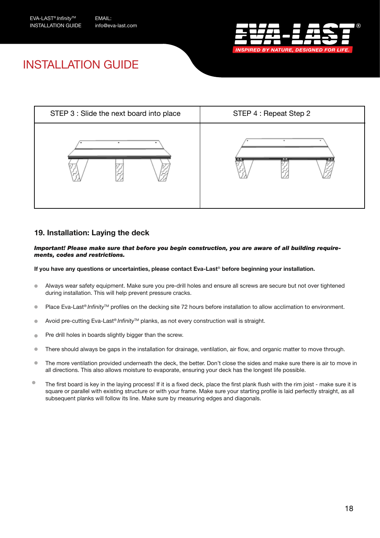

# INSTALLATION GUIDE



### **19. Installation: Laying the deck**

#### *Important! Please make sure that before you begin construction, you are aware of all building requirements, codes and restrictions.*

#### **If you have any questions or uncertainties, please contact Eva-Last**® **before beginning your installation.**

- Always wear safety equipment. Make sure you pre-drill holes and ensure all screws are secure but not over tightened  $\bullet$ during installation. This will help prevent pressure cracks.
- Place Eva-Last® *Infinity*™ profiles on the decking site 72 hours before installation to allow acclimation to environment.  $\bullet$
- Avoid pre-cutting Eva-Last® *Infinity*TM planks, as not every construction wall is straight.  $\bullet$
- Pre drill holes in boards slightly bigger than the screw.  $\blacksquare$
- There should always be gaps in the installation for drainage, ventilation, air flow, and organic matter to move through.  $\bullet$
- The more ventilation provided underneath the deck, the better. Don't close the sides and make sure there is air to move in  $\bullet$ all directions. This also allows moisture to evaporate, ensuring your deck has the longest life possible.
- $\bullet$ The first board is key in the laying process! If it is a fixed deck, place the first plank flush with the rim joist - make sure it is square or parallel with existing structure or with your frame. Make sure your starting profile is laid perfectly straight, as all subsequent planks will follow its line. Make sure by measuring edges and diagonals.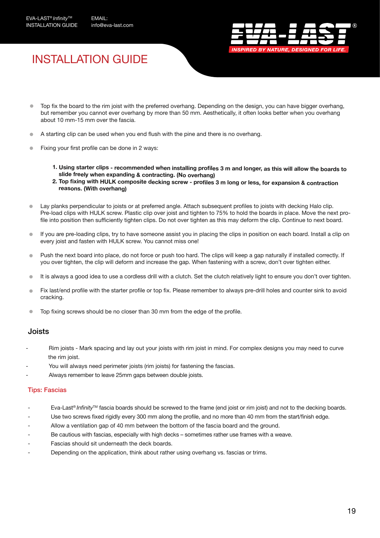

# INSTALLATION GUIDE

- Top fix the board to the rim joist with the preferred overhang. Depending on the design, you can have bigger overhang, but remember you cannot ever overhang by more than 50 mm. Aesthetically, it often looks better when you overhang about 10 mm-15 mm over the fascia.
- A starting clip can be used when you end flush with the pine and there is no overhang.
- Fixing your first profile can be done in 2 ways:
	- **1. Using starter clips recommended when installing profiles 3 m and longer, as this will allow the boards to slide freely when expanding & contracting. (No overhang)**
	- **2. Top fixing with HULK composite decking screw profiles 3 m long or less, for expansion & contraction reasons. (With overhang)**
- Lay planks perpendicular to joists or at preferred angle. Attach subsequent profiles to joists with decking Halo clip. Pre-load clips with HULK screw. Plastic clip over joist and tighten to 75% to hold the boards in place. Move the next profile into position then sufficiently tighten clips. Do not over tighten as this may deform the clip. Continue to next board.
- If you are pre-loading clips, try to have someone assist you in placing the clips in position on each board. Install a clip on  $\blacksquare$ every joist and fasten with HULK screw. You cannot miss one!
- Push the next board into place, do not force or push too hard. The clips will keep a gap naturally if installed correctly. If  $\blacksquare$ you over tighten, the clip will deform and increase the gap. When fastening with a screw, don't over tighten either.
- It is always a good idea to use a cordless drill with a clutch. Set the clutch relatively light to ensure you don't over tighten.  $\bullet$
- Fix last/end profile with the starter profile or top fix. Please remember to always pre-drill holes and counter sink to avoid Ò cracking.
- Top fixing screws should be no closer than 30 mm from the edge of the profile.  $\blacksquare$

#### Joists

- Rim joists Mark spacing and lay out your joists with rim joist in mind. For complex designs you may need to curve the rim joist.
- You will always need perimeter joists (rim joists) for fastening the fascias.
- Always remember to leave 25mm gaps between double joists.

#### Tips: Fascias

- Eva-Last® *Infinity*™ fascia boards should be screwed to the frame (end joist or rim joist) and not to the decking boards.
- Use two screws fixed rigidly every 300 mm along the profile, and no more than 40 mm from the start/finish edge.
- Allow a ventilation gap of 40 mm between the bottom of the fascia board and the ground.
- Be cautious with fascias, especially with high decks sometimes rather use frames with a weave.
- Fascias should sit underneath the deck boards.
- Depending on the application, think about rather using overhang vs. fascias or trims.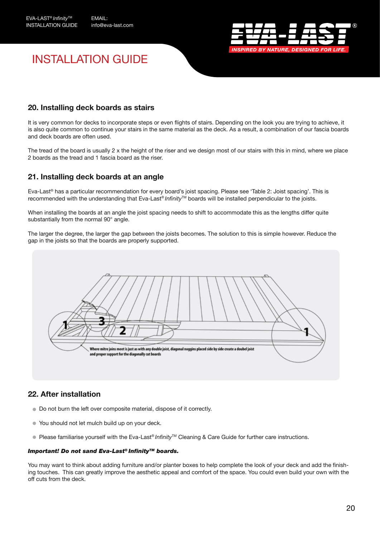

# INSTALLATION GUIDE

### **20. Installing deck boards as stairs**

It is very common for decks to incorporate steps or even flights of stairs. Depending on the look you are trying to achieve, it is also quite common to continue your stairs in the same material as the deck. As a result, a combination of our fascia boards and deck boards are often used.

The tread of the board is usually  $2 \times$  the height of the riser and we design most of our stairs with this in mind, where we place 2 boards as the tread and 1 fascia board as the riser.

### **21. Installing deck boards at an angle**

Eva-Last® has a particular recommendation for every board's joist spacing. Please see 'Table 2: Joist spacing'. This is recommended with the understanding that Eva-Last® *Infinity*™ boards will be installed perpendicular to the joists.

When installing the boards at an angle the joist spacing needs to shift to accommodate this as the lengths differ quite substantially from the normal 90° angle.

The larger the degree, the larger the gap between the joists becomes. The solution to this is simple however. Reduce the gap in the joists so that the boards are properly supported.



### **22. After installation**

- $\bullet$  Do not burn the left over composite material, dispose of it correctly.
- You should not let mulch build up on your deck.
- Please familiarise yourself with the Eva-Last<sup>®</sup> *Infinity*™ Cleaning & Care Guide for further care instructions.

#### *Important! Do not sand Eva-Last® Infinity™ boards.*

You may want to think about adding furniture and/or planter boxes to help complete the look of your deck and add the finishing touches. This can greatly improve the aesthetic appeal and comfort of the space. You could even build your own with the off cuts from the deck.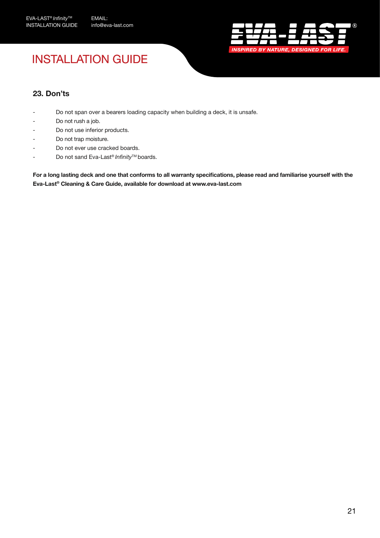

# INSTALLATION GUIDE

### **23. Don'ts**

- Do not span over a bearers loading capacity when building a deck, it is unsafe.
- Do not rush a job.
- Do not use inferior products.
- Do not trap moisture.
- Do not ever use cracked boards.
- Do not sand Eva-Last® *Infinity*TM boards.

**For a long lasting deck and one that conforms to all warranty specifications, please read and familiarise yourself with the Eva-Last® Cleaning & Care Guide, available for download at www.eva-last.com**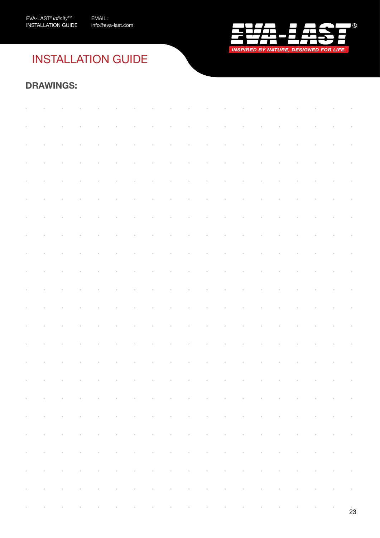

# INSTALLATION GUIDE

### **DRAWINGS:**

| $\alpha$ , $\beta$ , $\beta$ , $\alpha$ |                                                                                                                                                                                                                               |                |                |                 |                                                                                                                                                                                   |                 |                 |                |                |                |                |                |          |                  |                  | $\label{eq:3.1} \mathcal{L}^{\mathcal{A}}(\mathcal{A})=\mathcal{L}^{\mathcal{A}}(\mathcal{A})=\mathcal{L}^{\mathcal{A}}(\mathcal{A})=\mathcal{L}^{\mathcal{A}}(\mathcal{A})=\mathcal{L}^{\mathcal{A}}(\mathcal{A})=\mathcal{L}^{\mathcal{A}}(\mathcal{A})=\mathcal{L}^{\mathcal{A}}(\mathcal{A})=\mathcal{L}^{\mathcal{A}}(\mathcal{A})=\mathcal{L}^{\mathcal{A}}(\mathcal{A})=\mathcal{L}^{\mathcal{A}}(\mathcal{A})=\mathcal{L}^{\mathcal{A}}(\mathcal{A})=\math$ |                                                                                                                                        |                                         |
|-----------------------------------------|-------------------------------------------------------------------------------------------------------------------------------------------------------------------------------------------------------------------------------|----------------|----------------|-----------------|-----------------------------------------------------------------------------------------------------------------------------------------------------------------------------------|-----------------|-----------------|----------------|----------------|----------------|----------------|----------------|----------|------------------|------------------|---------------------------------------------------------------------------------------------------------------------------------------------------------------------------------------------------------------------------------------------------------------------------------------------------------------------------------------------------------------------------------------------------------------------------------------------------------------------|----------------------------------------------------------------------------------------------------------------------------------------|-----------------------------------------|
| $\sim$                                  |                                                                                                                                                                                                                               |                |                |                 |                                                                                                                                                                                   |                 |                 |                |                |                |                |                |          |                  |                  |                                                                                                                                                                                                                                                                                                                                                                                                                                                                     | $\mathcal{A}^{\text{max}}_{\text{max}}$                                                                                                |                                         |
|                                         |                                                                                                                                                                                                                               |                |                |                 |                                                                                                                                                                                   |                 |                 |                |                |                |                |                |          |                  |                  |                                                                                                                                                                                                                                                                                                                                                                                                                                                                     |                                                                                                                                        |                                         |
| $\sim$                                  |                                                                                                                                                                                                                               |                |                |                 |                                                                                                                                                                                   | $\alpha$        | $\alpha$        | $\bar{\theta}$ | $\bar{\theta}$ | $\bar{\alpha}$ | $\bar{\theta}$ | $\bar{0}$      |          |                  |                  |                                                                                                                                                                                                                                                                                                                                                                                                                                                                     | $\sim$ $\sim$                                                                                                                          | $\sim$                                  |
|                                         | $\bar{\theta}$                                                                                                                                                                                                                | $\bar{\alpha}$ | $\bar{\alpha}$ |                 |                                                                                                                                                                                   | $\bar{\theta}$  | $\bar{\sigma}$  | $\bar{\sigma}$ | $\bar{\theta}$ | $\bar{\sigma}$ | $\bar{\sigma}$ | $\alpha$       | $\alpha$ | $\bar{\theta}$   | $\bar{\sigma}$   | $\bar{\theta}$                                                                                                                                                                                                                                                                                                                                                                                                                                                      | $\mathcal{A}^{\text{max}}_{\text{max}}$                                                                                                |                                         |
|                                         | $\mathcal{A}^{\mathcal{A}}$ and $\mathcal{A}^{\mathcal{A}}$ are $\mathcal{A}^{\mathcal{A}}$ . In the $\mathcal{A}^{\mathcal{A}}$                                                                                              |                | $\alpha$       | $\alpha$        | $\sim$                                                                                                                                                                            | $\alpha$        |                 |                |                |                |                |                |          |                  |                  | . The contract of the contract of the contract of the contract of the contract of the contract of the contract of the contract of the contract of the contract of the contract of the contract of the contract of the contrac                                                                                                                                                                                                                                       |                                                                                                                                        |                                         |
|                                         |                                                                                                                                                                                                                               |                |                |                 |                                                                                                                                                                                   |                 |                 |                |                |                |                |                |          |                  |                  |                                                                                                                                                                                                                                                                                                                                                                                                                                                                     |                                                                                                                                        |                                         |
| $\sim$                                  | $\alpha$                                                                                                                                                                                                                      | $\alpha$       | $\alpha$       | $\sim 100$      | $\sim 100$                                                                                                                                                                        | $\sim$ $\sim$   | $\sim$ $\alpha$ | $\sim$ $\sim$  | $\alpha$       | $\alpha$       | $\alpha$       | $\alpha$       | $\alpha$ | $\alpha$         | $\sim$ $ \alpha$ | $\sim$ $\alpha$                                                                                                                                                                                                                                                                                                                                                                                                                                                     | $\sim 100$                                                                                                                             | $\sim$ $\sim$                           |
| $\sim$                                  | $\alpha$                                                                                                                                                                                                                      | $\bar{\sigma}$ | $\alpha$       | $\alpha$        | $\alpha$                                                                                                                                                                          | $\alpha$        | $\alpha$        | $\alpha$       | $\alpha$ .     | $\alpha$       | $\alpha$       | $\alpha$       | $\alpha$ | $\alpha$         | $\sim$           |                                                                                                                                                                                                                                                                                                                                                                                                                                                                     | $\label{eq:3.1} \begin{array}{lllllllllllllllllll} \alpha & \alpha & \alpha & \alpha \\ \alpha & \alpha & \alpha & \alpha \end{array}$ |                                         |
| $\sim$                                  | $\alpha$                                                                                                                                                                                                                      | $\bar{\alpha}$ | $\alpha$       | $\circ$         | $\alpha$                                                                                                                                                                          | $\alpha$        | $\alpha$        | $\alpha$       | $\alpha$       | $\alpha$       | $\alpha$       | $\alpha$       | $\alpha$ | $\alpha$         | $\sim$           | $\sim$                                                                                                                                                                                                                                                                                                                                                                                                                                                              | $\mathcal{L}^{\text{max}}_{\text{max}}$ , where $\mathcal{L}^{\text{max}}_{\text{max}}$                                                |                                         |
|                                         |                                                                                                                                                                                                                               |                |                |                 |                                                                                                                                                                                   |                 |                 |                |                |                |                |                |          |                  |                  |                                                                                                                                                                                                                                                                                                                                                                                                                                                                     |                                                                                                                                        |                                         |
| $\sim$                                  | $\alpha$                                                                                                                                                                                                                      | $\alpha$       | $\alpha$       | $\alpha$        |                                                                                                                                                                                   | $\alpha$        | $\sim$ $\alpha$ | $\alpha$       | $\alpha$       | $\alpha$       | $\alpha$       | $\alpha$       | $\alpha$ | $\alpha$         | $\sim$ $\sim$    | $\sim$ $\sim$                                                                                                                                                                                                                                                                                                                                                                                                                                                       | $\sim 100$                                                                                                                             | $\sim$                                  |
| $\sim$                                  | $\alpha$                                                                                                                                                                                                                      | $\alpha$       | $\alpha$       | $\circ$         | $\alpha$                                                                                                                                                                          | $\alpha$        | $\sim$ $\sim$   | $\alpha$       | $\alpha$       | $\alpha$       | $\alpha$       | $\alpha$       | $\alpha$ | $\sim$           | $\sim$ $-$       | $\mathcal{L}^{\mathcal{L}}(\mathbf{a})$ and $\mathcal{L}^{\mathcal{L}}(\mathbf{a})$ and $\mathcal{L}^{\mathcal{L}}(\mathbf{a})$                                                                                                                                                                                                                                                                                                                                     |                                                                                                                                        |                                         |
| $\sim$                                  | $\alpha$                                                                                                                                                                                                                      | $\circ$        | $\alpha$       | $\alpha$        | $\alpha$                                                                                                                                                                          | $\circ$         | $\alpha$        | $\alpha$       | $\alpha$       | $\alpha$       | $\alpha$       | $\alpha$       | $\alpha$ | $\alpha$         | $\circ$          | $\alpha$                                                                                                                                                                                                                                                                                                                                                                                                                                                            | $\mathcal{A}^{\text{max}}_{\text{max}}$                                                                                                |                                         |
| $\sim$                                  | $\alpha$                                                                                                                                                                                                                      | $\bar{0}$      | $\bar{\alpha}$ |                 |                                                                                                                                                                                   | $\bar{\alpha}$  | $\bar{\alpha}$  | $\bar{\alpha}$ | $\bar{\alpha}$ | $\bar{\alpha}$ | $\bar{\alpha}$ |                |          | $\bar{\theta}$   |                  |                                                                                                                                                                                                                                                                                                                                                                                                                                                                     |                                                                                                                                        | $\sim$                                  |
|                                         |                                                                                                                                                                                                                               |                |                |                 |                                                                                                                                                                                   |                 |                 |                |                |                |                | $\alpha$       |          |                  | $\alpha$         | $\bar{\alpha}$                                                                                                                                                                                                                                                                                                                                                                                                                                                      | $\sim$                                                                                                                                 |                                         |
| $\sim$                                  | $\alpha$                                                                                                                                                                                                                      | $\alpha$       | $\alpha$       | $\alpha$        | $\alpha$                                                                                                                                                                          | $\sim 10^{-10}$ | $\sim 100$      | $\sim 100$     | $\alpha$       | $\alpha$       | $\alpha$       | $\sim$         | $\sim$   | $\sim$ 100 $\pm$ | $\sim$ $-$       | $\sim 100$                                                                                                                                                                                                                                                                                                                                                                                                                                                          | $\mathcal{L}^{\text{max}}_{\text{max}}$ and $\mathcal{L}^{\text{max}}_{\text{max}}$                                                    |                                         |
| $\sim$                                  |                                                                                                                                                                                                                               | $\circ$        |                |                 |                                                                                                                                                                                   | $\circ$         | $\circ$         | $\circ$        | $\alpha$       | $\bar{0}$      | $\bar{0}$      | $\alpha$       |          |                  |                  | $\ ^{\circ}$                                                                                                                                                                                                                                                                                                                                                                                                                                                        | $\alpha$                                                                                                                               | $\mathcal{L}^{\text{max}}_{\text{max}}$ |
| $\sim$                                  | $\alpha$                                                                                                                                                                                                                      | $\bar{\sigma}$ | $\bar{0}$      | $\circ$         | $\alpha$                                                                                                                                                                          | $\alpha$        | $\bar{\sigma}$  | $\bar{\sigma}$ | $\circ$        | $\bar{\sigma}$ | $\bar{\sigma}$ | $\bar{\alpha}$ | $\alpha$ | $\alpha$         | $\sim$           | $\sim$ $\sim$                                                                                                                                                                                                                                                                                                                                                                                                                                                       | $\mathcal{O}(\mathcal{O}_\mathcal{O})$ , and $\mathcal{O}(\mathcal{O}_\mathcal{O})$                                                    |                                         |
|                                         |                                                                                                                                                                                                                               |                |                |                 |                                                                                                                                                                                   |                 |                 |                |                |                |                |                |          |                  |                  |                                                                                                                                                                                                                                                                                                                                                                                                                                                                     |                                                                                                                                        |                                         |
|                                         | $\mathcal{A}^{\mathcal{A}}$ , where $\mathcal{A}^{\mathcal{A}}$ are $\mathcal{A}^{\mathcal{A}}$ , and                                                                                                                         |                | $\sim 10^{-1}$ | $\sim 10^{-10}$ | $\mathcal{L}^{\mathcal{L}}(\mathcal{L}^{\mathcal{L}})$ and $\mathcal{L}^{\mathcal{L}}(\mathcal{L}^{\mathcal{L}})$ . In the $\mathcal{L}^{\mathcal{L}}(\mathcal{L}^{\mathcal{L}})$ |                 |                 |                |                |                |                |                |          |                  |                  | $\sim 10^{-1}$                                                                                                                                                                                                                                                                                                                                                                                                                                                      | $\mathcal{L}^{\text{max}}_{\text{max}}$ , where $\mathcal{L}^{\text{max}}_{\text{max}}$                                                |                                         |
|                                         | , we have the set of the set of the set of the set of the set of the set of the set of the set of the set of the set of the set of the set of the set of the set of the set of the set of the set of the set of the set of th |                |                |                 |                                                                                                                                                                                   |                 |                 |                |                |                |                |                |          |                  |                  |                                                                                                                                                                                                                                                                                                                                                                                                                                                                     |                                                                                                                                        |                                         |
|                                         | the contract of the contract of the contract of the contract of the contract of the contract of the contract of                                                                                                               |                |                |                 |                                                                                                                                                                                   |                 |                 |                |                |                |                |                |          |                  |                  |                                                                                                                                                                                                                                                                                                                                                                                                                                                                     |                                                                                                                                        |                                         |
|                                         |                                                                                                                                                                                                                               |                |                |                 |                                                                                                                                                                                   |                 |                 |                |                |                |                |                |          |                  |                  |                                                                                                                                                                                                                                                                                                                                                                                                                                                                     |                                                                                                                                        |                                         |
|                                         | , we have the set of the set of the set of the set of the set of the set of the set of the set of the set of the set of the set of the set of the set of the set of the set of the set of the set of the set of the set of th |                |                |                 |                                                                                                                                                                                   |                 |                 |                |                |                |                |                |          |                  |                  |                                                                                                                                                                                                                                                                                                                                                                                                                                                                     |                                                                                                                                        |                                         |
|                                         | والمنفر القرار والتقرير والتقرير والتقرير والتقرير والتقرير والتقرير والتقرير والتقرير والمنافر                                                                                                                               |                |                |                 |                                                                                                                                                                                   |                 |                 |                |                |                |                |                |          |                  |                  |                                                                                                                                                                                                                                                                                                                                                                                                                                                                     |                                                                                                                                        |                                         |
|                                         | the contract of the contract of the contract of the contract of the contract of the contract of the contract of                                                                                                               |                |                |                 |                                                                                                                                                                                   |                 |                 |                |                |                |                |                |          |                  |                  |                                                                                                                                                                                                                                                                                                                                                                                                                                                                     |                                                                                                                                        |                                         |
|                                         |                                                                                                                                                                                                                               |                |                |                 |                                                                                                                                                                                   |                 |                 |                |                |                |                |                |          |                  |                  |                                                                                                                                                                                                                                                                                                                                                                                                                                                                     |                                                                                                                                        |                                         |
|                                         | , we have the set of the set of the set of the set of the set of the set of the set of the set of the set of the set of the set of the set of the set of the set of the set of the set of the set of the set of the set of th |                |                |                 |                                                                                                                                                                                   |                 |                 |                |                |                |                |                |          |                  |                  |                                                                                                                                                                                                                                                                                                                                                                                                                                                                     |                                                                                                                                        |                                         |
|                                         |                                                                                                                                                                                                                               |                |                |                 |                                                                                                                                                                                   |                 |                 |                |                |                |                |                |          |                  |                  |                                                                                                                                                                                                                                                                                                                                                                                                                                                                     | $\mathcal{L} = \mathcal{L}$                                                                                                            |                                         |